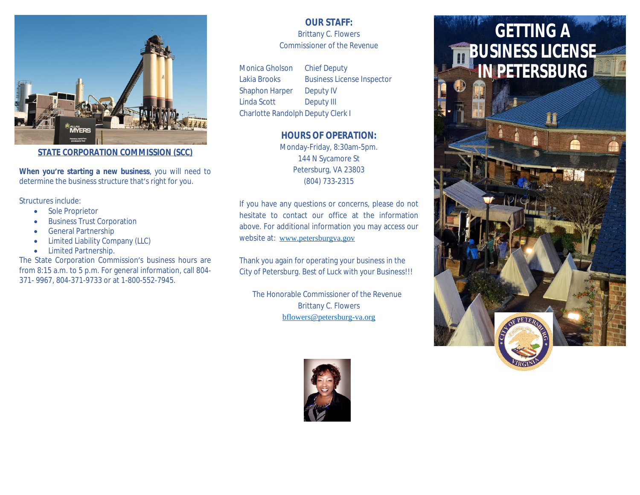

**STATE CORPORATION COMMISSION (SCC)**

**When you're starting a new business**, you will need to determine the business structure that's right for you.

Structures include:

- **•** Sole Proprietor
- Business Trust Corporation
- **General Partnership**
- Limited Liability Company (LLC)
- Limited Partnership.

The State Corporation Commission's business hours are from 8:15 a.m. to 5 p.m. For general information, call 804- 371- 9967, 804-371-9733 or at 1-800-552-7945.

# **OUR STAFF:**

Brittany C. Flowers Commissioner of the Revenue

Monica Gholson Chief Deputy Lakia Brooks Business License Inspector Shaphon Harper [Deputy IV](http://www.petersburgva.gov) Linda Scott Deputy III Charlotte Randolph Deputy Clerk I

# **HOURS OF OPERATION:**

Monday-Friday, 8:30am-5pm. 144 N Sycamore St [Petersburg, VA 23803](mailto:bflowers@petersburg-va.org) (804) 733-2315

If you have any questions or concerns, please do not hesitate to contact our office at the information above. For additional information you may access our website at: www.petersburgva.gov

Thank you again for operating your business in the City of Petersburg. Best of Luck with your Business!!!

The Honorable Commissioner of the Revenue Brittany C. Flowers bflowers@petersburg-va.org